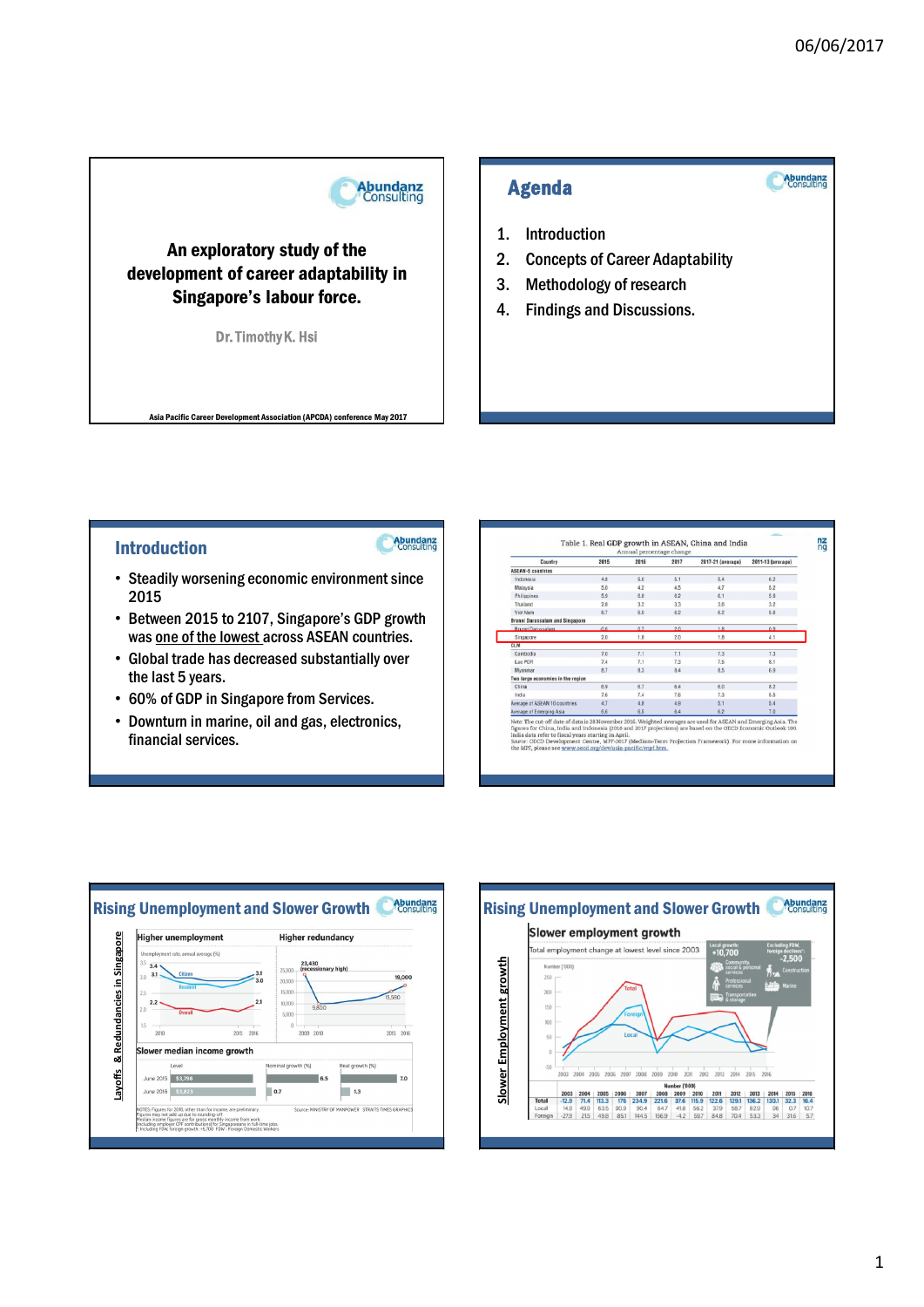Abundanz

**Abundanz**<br>Consulting

## An exploratory study of the development of career adaptability in Singapore's labour force.

Dr. Timothy K. Hsi

Asia Pacific Career Development Association (APCDA) conference May 2017

## Agenda

- 1. Introduction
- 2. Concepts of Career Adaptability
- 3. Methodology of research
- 4. Findings and Discussions.

## Introduction

Abundanz

- Steadily worsening economic environment since 2015
- Between 2015 to 2107, Singapore's GDP growth was one of the lowest across ASEAN countries.
- Global trade has decreased substantially over the last 5 years.
- 60% of GDP in Singapore from Services.
- Downturn in marine, oil and gas, electronics, financial services.

| Country                                                                                                                                                                                                                                                                                                                                                                                                                                                         | 2015   | 2016 | 2017 | 2017-21 (average) | 2011-13 (average) |  |
|-----------------------------------------------------------------------------------------------------------------------------------------------------------------------------------------------------------------------------------------------------------------------------------------------------------------------------------------------------------------------------------------------------------------------------------------------------------------|--------|------|------|-------------------|-------------------|--|
| <b>ASEAN-5 countries</b>                                                                                                                                                                                                                                                                                                                                                                                                                                        |        |      |      |                   |                   |  |
| Indonesia                                                                                                                                                                                                                                                                                                                                                                                                                                                       | 4.8    | 5.0  | 5.1  | 5.4               | 6.2               |  |
| Malaysia                                                                                                                                                                                                                                                                                                                                                                                                                                                        | 50     | 4.2  | 45   | 47                | 5.2               |  |
| Philippines                                                                                                                                                                                                                                                                                                                                                                                                                                                     | 5.9    | 6.8  | 62   | 61                | 5.9               |  |
| Thailand                                                                                                                                                                                                                                                                                                                                                                                                                                                        | 2.8    | 3.2  | 3.3  | 3.6               | 3.2               |  |
| Viet Nam                                                                                                                                                                                                                                                                                                                                                                                                                                                        | 67     | 6.0  | 62   | 62                | 5.6               |  |
| <b>Brunei Darussalam and Singapore</b>                                                                                                                                                                                                                                                                                                                                                                                                                          |        |      |      |                   |                   |  |
| <b>Brunei Darussalam</b>                                                                                                                                                                                                                                                                                                                                                                                                                                        | $-0.6$ | 0.7  | 2.0  | 18                | 0.9               |  |
| Singapore                                                                                                                                                                                                                                                                                                                                                                                                                                                       | 2.0    | 1.8  | 2.0  | 1.8               | 4.1               |  |
| <b>CLM</b>                                                                                                                                                                                                                                                                                                                                                                                                                                                      |        |      |      |                   |                   |  |
| Cambodia                                                                                                                                                                                                                                                                                                                                                                                                                                                        | 70     | 7.1  | 7.1  | 7.3               | 7.3               |  |
| Lao PDR                                                                                                                                                                                                                                                                                                                                                                                                                                                         | 74     | 7.1  | 73   | 7.5               | 8.1               |  |
| Myanmar                                                                                                                                                                                                                                                                                                                                                                                                                                                         | 87     | 83   | 84   | 8.5               | 6.9               |  |
| Two large economies in the region                                                                                                                                                                                                                                                                                                                                                                                                                               |        |      |      |                   |                   |  |
| China                                                                                                                                                                                                                                                                                                                                                                                                                                                           | 6.9    | 6.7  | 6.4  | 6.0               | 8.2               |  |
| India                                                                                                                                                                                                                                                                                                                                                                                                                                                           | 7.6    | 7.4  | 7.6  | 7.3               | 5.5               |  |
| Average of ASEAN 10 countries                                                                                                                                                                                                                                                                                                                                                                                                                                   | 4.7    | 4.8  | 4.9  | 5.1               | 5.4               |  |
| Average of Emerging Asia                                                                                                                                                                                                                                                                                                                                                                                                                                        | 66     | 6.5  | 6.4  | 6.2               | 7.0               |  |
| Note: The cut-off date of data is 28 November 2016. Weighted averages are used for ASEAN and Emerging Asia. The<br>figures for China, India and Indonesia (2016 and 2017 projections) are based on the OECD Economic Outlook 100,<br>India data refer to fiscal years starting in April.<br>Source: OECD Development Centre, MPF-2017 (Medium-Term Projection Framework). For more information on<br>the MPF, please see www.oecd.org/dev/asia-pacific/mpf.htm. |        |      |      |                   |                   |  |



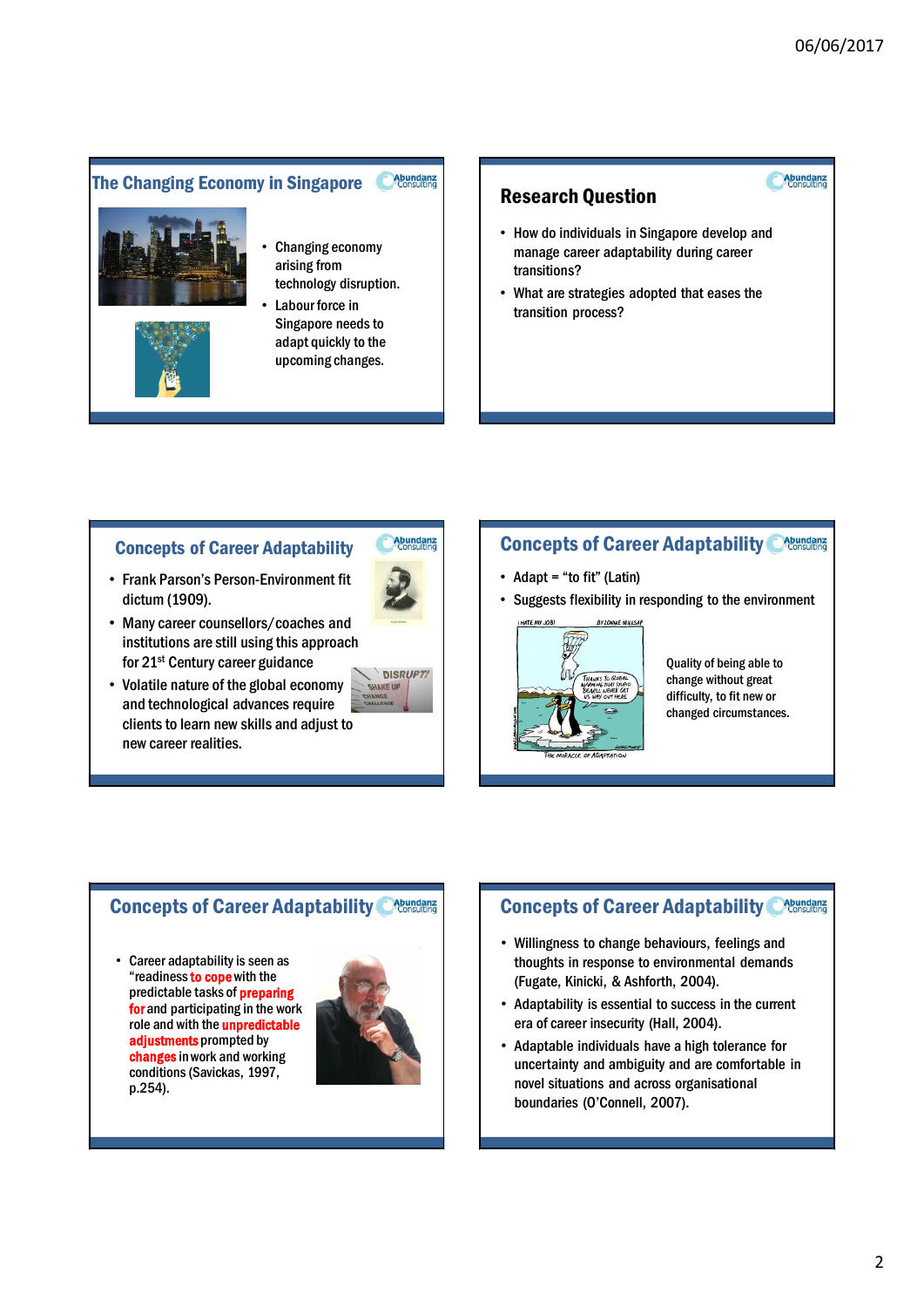**Abundanz**<br>Consulting

#### Abundanz The Changing Economy in Singapore





technology disruption. Labour force in Singapore needs to adapt quickly to the

upcoming changes.

## Research Question

- How do individuals in Singapore develop and manage career adaptability during career transitions?
- What are strategies adopted that eases the transition process?

## Concepts of Career Adaptability

• Frank Parson's Person-Environment fit dictum (1909).



- Many career counsellors/coaches and institutions are still using this approach for 21st Century career guidance
- Volatile nature of the global economy and technological advances require clients to learn new skills and adjust to new career realities.



## **Concepts of Career Adaptability Creations**

- Adapt = "to fit" (Latin)
- Suggests flexibility in responding to the environment



Quality of being able to change without great difficulty, to fit new or changed circumstances.

## **Concepts of Career Adaptability Creamdanz**

• Career adaptability is seen as "readiness to cope with the predictable tasks of preparing for and participating in the work role and with the **unpredictable** adjustments prompted by changes in work and working conditions (Savickas, 1997, p.254).



## **Concepts of Career Adaptability Concepts of Career Adaptability Concepts**

- Willingness to change behaviours, feelings and thoughts in response to environmental demands (Fugate, Kinicki, & Ashforth, 2004).
- Adaptability is essential to success in the current era of career insecurity (Hall, 2004).
- Adaptable individuals have a high tolerance for uncertainty and ambiguity and are comfortable in novel situations and across organisational boundaries (O'Connell, 2007).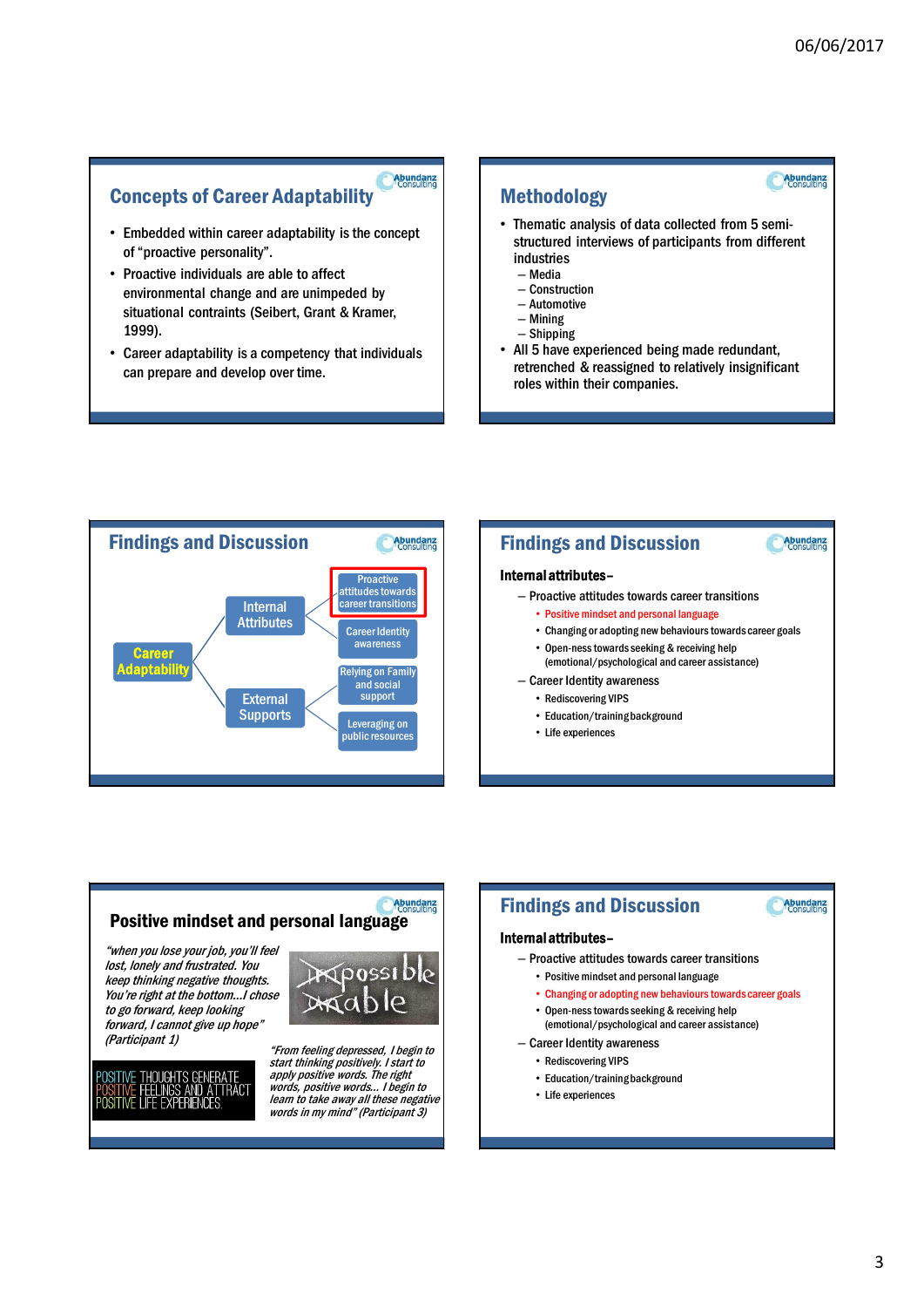**Abundanz**<br>Consulting

Abundanz

**Abundanz**<br>Consulting

### **Abundanz**<br>Consulting Concepts of Career Adaptability

- Embedded within career adaptability is the concept of "proactive personality".
- Proactive individuals are able to affect environmental change and are unimpeded by situational contraints (Seibert, Grant & Kramer, 1999).
- Career adaptability is a competency that individuals can prepare and develop over time.

## Methodology

- Thematic analysis of data collected from 5 semistructured interviews of participants from different industries
	- Media
	- Construction
	- Automotive – Mining
	- Shipping
- All 5 have experienced being made redundant, retrenched & reassigned to relatively insignificant roles within their companies.



#### Internal attributes–

- Proactive attitudes towards career transitions
	- Positive mindset and personal language
	- Changing or adopting new behaviours towards career goals • Open-ness towards seeking & receiving help
	- (emotional/psychological and career assistance)
- Career Identity awareness
	- Rediscovering VIPS
	- Education/training background

Findings and Discussion

• Life experiences

#### Abundanz Positive mindset and personal language

"when you lose your job, you'll feel lost, lonely and frustrated. You keep thinking negative thoughts. You're right at the bottom…I chose to go forward, keep looking forward, I cannot give up hope" (Participant 1) "From feeling depressed, I begin to

> GENERATE SUGATIS GENENATE<br>LINGS AND ATTRACT<br>: EXPERIENCES.



start thinking positively. I start to apply positive words. The right words, positive words… I begin to learn to take away all these negative words in my mind" (Participant 3)

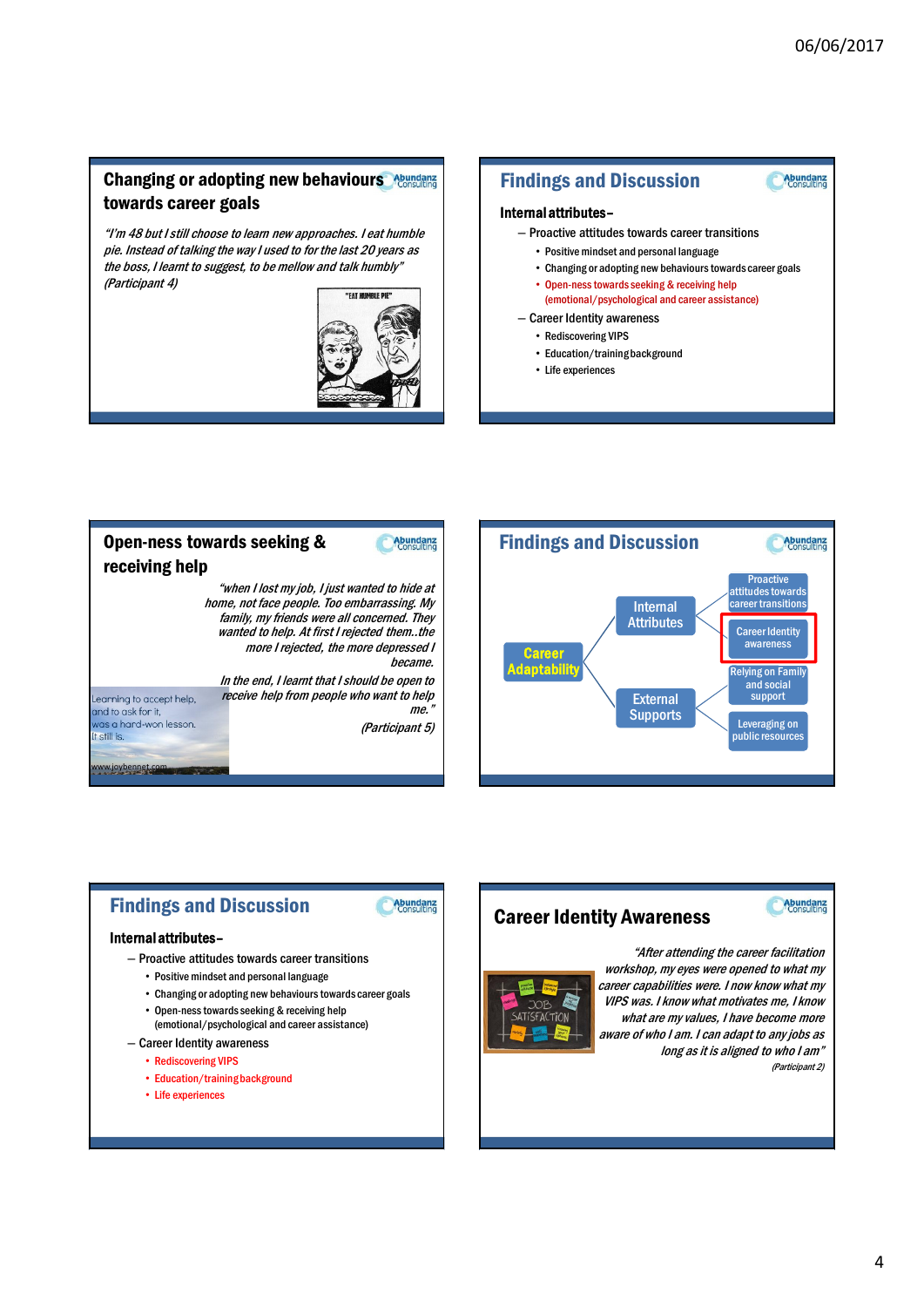**Abundanz**<br>Consulting

## **Changing or adopting new behaviours** Abundanz towards career goals

"I'm 48 but I still choose to learn new approaches. I eat humble pie. Instead of talking the way I used to for the last 20 years as the boss, I learnt to suggest, to be mellow and talk humbly" (Participant 4)



## Findings and Discussion

#### Internal attributes–

- Proactive attitudes towards career transitions
	- Positive mindset and personal language
	- Changing or adopting new behaviours towards career goals
	- Open-ness towards seeking & receiving help
	- (emotional/psychological and career assistance)
- Career Identity awareness
	- Rediscovering VIPS
	- Education/training background
	- Life experiences





## Findings and Discussion

**Abundanz**<br>Consulting

#### Internal attributes–

- Proactive attitudes towards career transitions
	- Positive mindset and personal language
	- Changing or adopting new behaviours towards career goals
	- Open-ness towards seeking & receiving help (emotional/psychological and career assistance)
- Career Identity awareness
	- Rediscovering VIPS
	- Education/training background
	- Life experiences

## Career Identity Awareness





"After attending the career facilitation workshop, my eyes were opened to what my career capabilities were. I now know what my VIPS was. I know what motivates me, I know what are my values, I have become more aware of who I am. I can adapt to any jobs as long as it is aligned to who I am" (Participant 2)